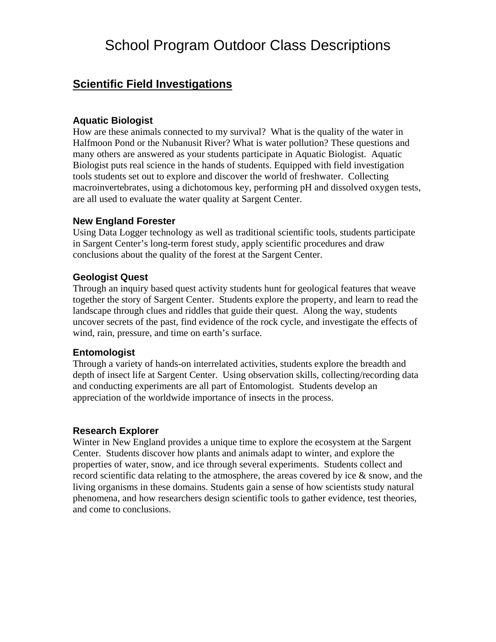# School Program Outdoor Class Descriptions

# **Scientific Field Investigations**

### **Aquatic Biologist**

How are these animals connected to my survival? What is the quality of the water in Halfmoon Pond or the Nubanusit River? What is water pollution? These questions and many others are answered as your students participate in Aquatic Biologist. Aquatic Biologist puts real science in the hands of students. Equipped with field investigation tools students set out to explore and discover the world of freshwater. Collecting macroinvertebrates, using a dichotomous key, performing pH and dissolved oxygen tests, are all used to evaluate the water quality at Sargent Center.

#### **New England Forester**

Using Data Logger technology as well as traditional scientific tools, students participate in Sargent Center's long-term forest study, apply scientific procedures and draw conclusions about the quality of the forest at the Sargent Center.

### **Geologist Quest**

Through an inquiry based quest activity students hunt for geological features that weave together the story of Sargent Center. Students explore the property, and learn to read the landscape through clues and riddles that guide their quest. Along the way, students uncover secrets of the past, find evidence of the rock cycle, and investigate the effects of wind, rain, pressure, and time on earth's surface.

#### **Entomologist**

Through a variety of hands-on interrelated activities, students explore the breadth and depth of insect life at Sargent Center. Using observation skills, collecting/recording data and conducting experiments are all part of Entomologist. Students develop an appreciation of the worldwide importance of insects in the process.

#### **Research Explorer**

Winter in New England provides a unique time to explore the ecosystem at the Sargent Center. Students discover how plants and animals adapt to winter, and explore the properties of water, snow, and ice through several experiments. Students collect and record scientific data relating to the atmosphere, the areas covered by ice & snow, and the living organisms in these domains. Students gain a sense of how scientists study natural phenomena, and how researchers design scientific tools to gather evidence, test theories, and come to conclusions.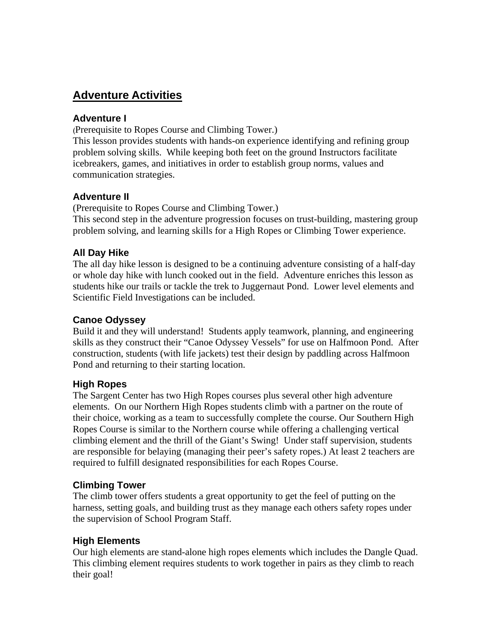# **Adventure Activities**

### **Adventure I**

(Prerequisite to Ropes Course and Climbing Tower.)

This lesson provides students with hands-on experience identifying and refining group problem solving skills. While keeping both feet on the ground Instructors facilitate icebreakers, games, and initiatives in order to establish group norms, values and communication strategies.

### **Adventure II**

(Prerequisite to Ropes Course and Climbing Tower.) This second step in the adventure progression focuses on trust-building, mastering group problem solving, and learning skills for a High Ropes or Climbing Tower experience.

### **All Day Hike**

The all day hike lesson is designed to be a continuing adventure consisting of a half-day or whole day hike with lunch cooked out in the field. Adventure enriches this lesson as students hike our trails or tackle the trek to Juggernaut Pond. Lower level elements and Scientific Field Investigations can be included.

### **Canoe Odyssey**

Build it and they will understand! Students apply teamwork, planning, and engineering skills as they construct their "Canoe Odyssey Vessels" for use on Halfmoon Pond. After construction, students (with life jackets) test their design by paddling across Halfmoon Pond and returning to their starting location.

### **High Ropes**

The Sargent Center has two High Ropes courses plus several other high adventure elements. On our Northern High Ropes students climb with a partner on the route of their choice, working as a team to successfully complete the course. Our Southern High Ropes Course is similar to the Northern course while offering a challenging vertical climbing element and the thrill of the Giant's Swing! Under staff supervision, students are responsible for belaying (managing their peer's safety ropes.) At least 2 teachers are required to fulfill designated responsibilities for each Ropes Course.

### **Climbing Tower**

The climb tower offers students a great opportunity to get the feel of putting on the harness, setting goals, and building trust as they manage each others safety ropes under the supervision of School Program Staff.

### **High Elements**

Our high elements are stand-alone high ropes elements which includes the Dangle Quad. This climbing element requires students to work together in pairs as they climb to reach their goal!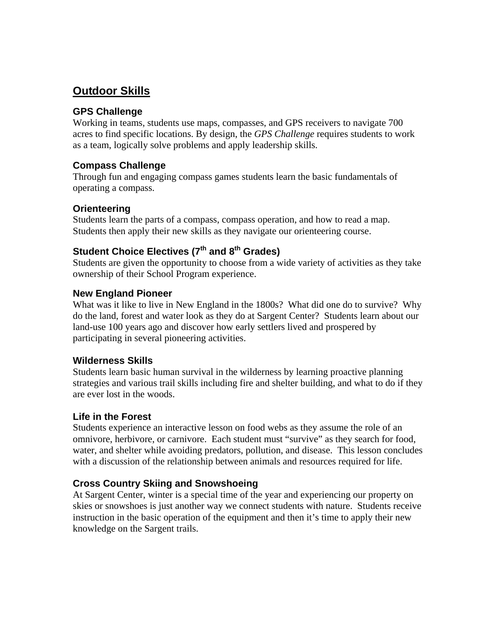# **Outdoor Skills**

### **GPS Challenge**

Working in teams, students use maps, compasses, and GPS receivers to navigate 700 acres to find specific locations. By design, the *GPS Challenge* requires students to work as a team, logically solve problems and apply leadership skills.

### **Compass Challenge**

Through fun and engaging compass games students learn the basic fundamentals of operating a compass.

### **Orienteering**

Students learn the parts of a compass, compass operation, and how to read a map. Students then apply their new skills as they navigate our orienteering course.

### Student Choice Electives (7<sup>th</sup> and 8<sup>th</sup> Grades)

Students are given the opportunity to choose from a wide variety of activities as they take ownership of their School Program experience.

### **New England Pioneer**

What was it like to live in New England in the 1800s? What did one do to survive? Why do the land, forest and water look as they do at Sargent Center? Students learn about our land-use 100 years ago and discover how early settlers lived and prospered by participating in several pioneering activities.

### **Wilderness Skills**

Students learn basic human survival in the wilderness by learning proactive planning strategies and various trail skills including fire and shelter building, and what to do if they are ever lost in the woods.

### **Life in the Forest**

Students experience an interactive lesson on food webs as they assume the role of an omnivore, herbivore, or carnivore. Each student must "survive" as they search for food, water, and shelter while avoiding predators, pollution, and disease. This lesson concludes with a discussion of the relationship between animals and resources required for life.

### **Cross Country Skiing and Snowshoeing**

At Sargent Center, winter is a special time of the year and experiencing our property on skies or snowshoes is just another way we connect students with nature. Students receive instruction in the basic operation of the equipment and then it's time to apply their new knowledge on the Sargent trails.